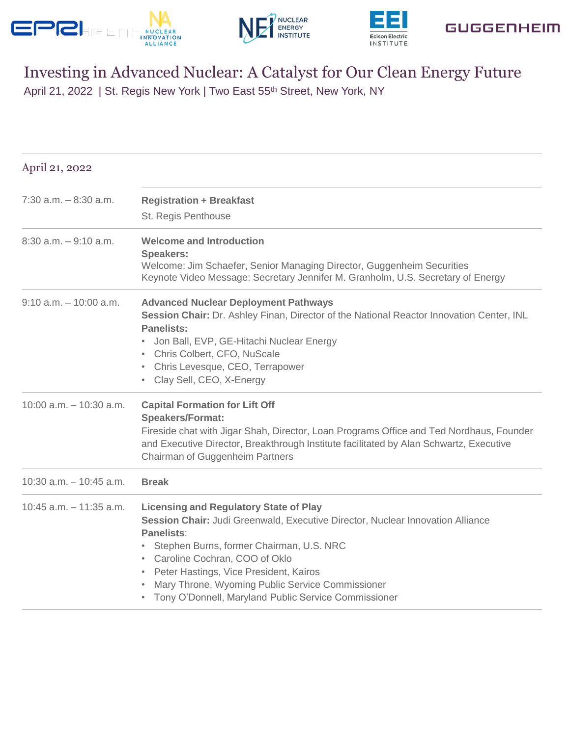









## Investing in Advanced Nuclear: A Catalyst for Our Clean Energy Future

April 21, 2022 | St. Regis New York | Two East 55<sup>th</sup> Street, New York, NY

| April 21, 2022             |                                                                                                                                                                                                                                                                                                                                                                                                                     |
|----------------------------|---------------------------------------------------------------------------------------------------------------------------------------------------------------------------------------------------------------------------------------------------------------------------------------------------------------------------------------------------------------------------------------------------------------------|
| $7:30$ a.m. $-8:30$ a.m.   | <b>Registration + Breakfast</b><br>St. Regis Penthouse                                                                                                                                                                                                                                                                                                                                                              |
| $8:30$ a.m. $-9:10$ a.m.   | <b>Welcome and Introduction</b><br><b>Speakers:</b><br>Welcome: Jim Schaefer, Senior Managing Director, Guggenheim Securities<br>Keynote Video Message: Secretary Jennifer M. Granholm, U.S. Secretary of Energy                                                                                                                                                                                                    |
| $9:10$ a.m. $-10:00$ a.m.  | <b>Advanced Nuclear Deployment Pathways</b><br>Session Chair: Dr. Ashley Finan, Director of the National Reactor Innovation Center, INL<br><b>Panelists:</b><br>Jon Ball, EVP, GE-Hitachi Nuclear Energy<br>• Chris Colbert, CFO, NuScale<br>• Chris Levesque, CEO, Terrapower<br>• Clay Sell, CEO, X-Energy                                                                                                        |
| $10:00$ a.m. $-10:30$ a.m. | <b>Capital Formation for Lift Off</b><br><b>Speakers/Format:</b><br>Fireside chat with Jigar Shah, Director, Loan Programs Office and Ted Nordhaus, Founder<br>and Executive Director, Breakthrough Institute facilitated by Alan Schwartz, Executive<br>Chairman of Guggenheim Partners                                                                                                                            |
| $10:30$ a.m. $-10:45$ a.m. | <b>Break</b>                                                                                                                                                                                                                                                                                                                                                                                                        |
| $10:45$ a.m. $-11:35$ a.m. | <b>Licensing and Regulatory State of Play</b><br>Session Chair: Judi Greenwald, Executive Director, Nuclear Innovation Alliance<br><b>Panelists:</b><br>Stephen Burns, former Chairman, U.S. NRC<br>$\bullet$<br>• Caroline Cochran, COO of Oklo<br>Peter Hastings, Vice President, Kairos<br>$\bullet$<br>Mary Throne, Wyoming Public Service Commissioner<br>Tony O'Donnell, Maryland Public Service Commissioner |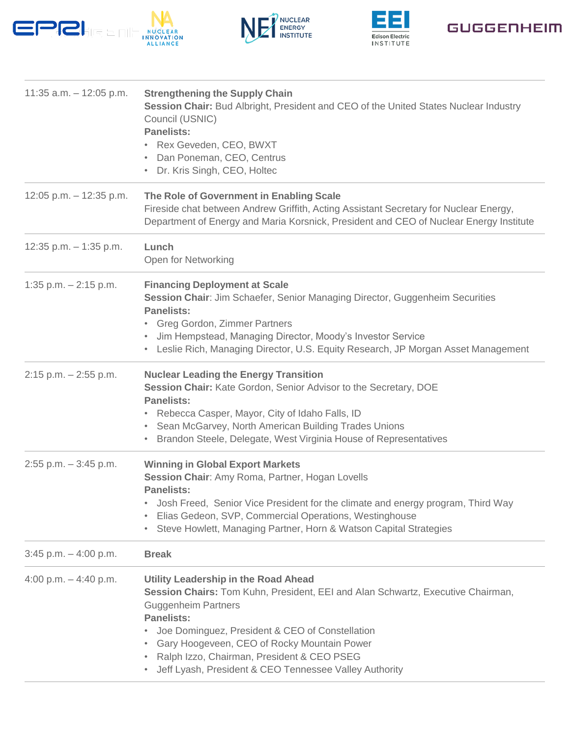









| 11:35 $a.m. - 12:05$ p.m. | <b>Strengthening the Supply Chain</b><br>Session Chair: Bud Albright, President and CEO of the United States Nuclear Industry<br>Council (USNIC)<br><b>Panelists:</b><br>Rex Geveden, CEO, BWXT<br>Dan Poneman, CEO, Centrus<br>• Dr. Kris Singh, CEO, Holtec                                                                                                                        |
|---------------------------|--------------------------------------------------------------------------------------------------------------------------------------------------------------------------------------------------------------------------------------------------------------------------------------------------------------------------------------------------------------------------------------|
| 12:05 p.m. $-$ 12:35 p.m. | The Role of Government in Enabling Scale<br>Fireside chat between Andrew Griffith, Acting Assistant Secretary for Nuclear Energy,<br>Department of Energy and Maria Korsnick, President and CEO of Nuclear Energy Institute                                                                                                                                                          |
| 12:35 p.m. $-$ 1:35 p.m.  | Lunch<br>Open for Networking                                                                                                                                                                                                                                                                                                                                                         |
| 1:35 p.m. $- 2:15$ p.m.   | <b>Financing Deployment at Scale</b><br>Session Chair: Jim Schaefer, Senior Managing Director, Guggenheim Securities<br><b>Panelists:</b><br>• Greg Gordon, Zimmer Partners<br>Jim Hempstead, Managing Director, Moody's Investor Service<br>• Leslie Rich, Managing Director, U.S. Equity Research, JP Morgan Asset Management                                                      |
| $2:15$ p.m. $-2:55$ p.m.  | <b>Nuclear Leading the Energy Transition</b><br>Session Chair: Kate Gordon, Senior Advisor to the Secretary, DOE<br><b>Panelists:</b><br>Rebecca Casper, Mayor, City of Idaho Falls, ID<br>Sean McGarvey, North American Building Trades Unions<br>٠<br>Brandon Steele, Delegate, West Virginia House of Representatives<br>٠                                                        |
| $2:55$ p.m. $-3:45$ p.m.  | <b>Winning in Global Export Markets</b><br>Session Chair: Amy Roma, Partner, Hogan Lovells<br><b>Panelists:</b><br>Josh Freed, Senior Vice President for the climate and energy program, Third Way<br>Elias Gedeon, SVP, Commercial Operations, Westinghouse<br>$\bullet$<br>Steve Howlett, Managing Partner, Horn & Watson Capital Strategies<br>$\bullet$                          |
| $3:45$ p.m. $-4:00$ p.m.  | <b>Break</b>                                                                                                                                                                                                                                                                                                                                                                         |
| 4:00 p.m. $-$ 4:40 p.m.   | Utility Leadership in the Road Ahead<br>Session Chairs: Tom Kuhn, President, EEI and Alan Schwartz, Executive Chairman,<br><b>Guggenheim Partners</b><br><b>Panelists:</b><br>Joe Dominguez, President & CEO of Constellation<br>Gary Hoogeveen, CEO of Rocky Mountain Power<br>Ralph Izzo, Chairman, President & CEO PSEG<br>Jeff Lyash, President & CEO Tennessee Valley Authority |